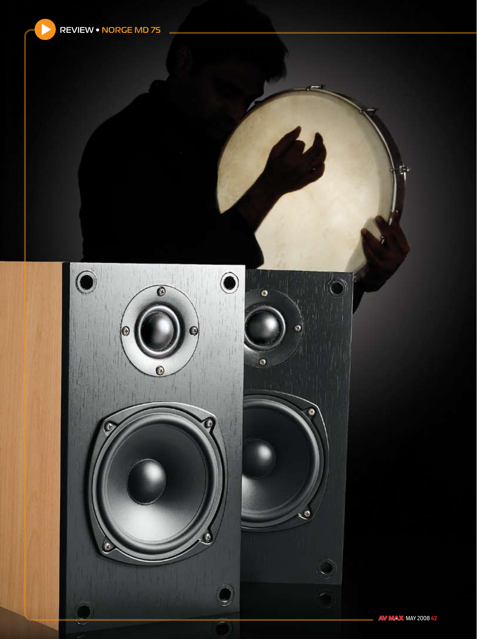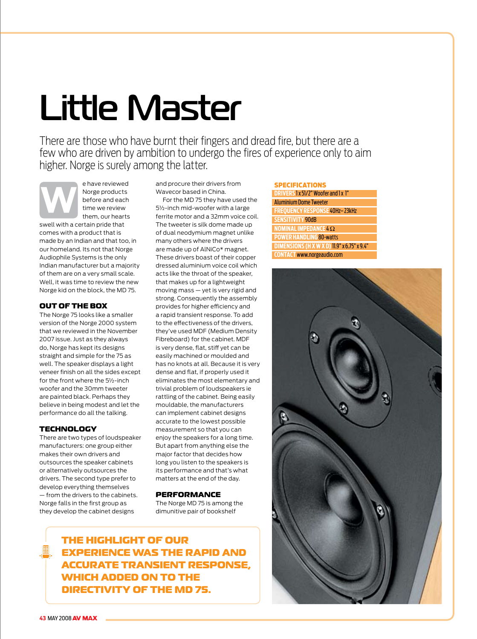# **Little Master**

There are those who have burnt their fingers and dread fire, but there are a few who are driven by ambition to undergo the fires of experience only to aim higher. Norge is surely among the latter.

e have reviewed Norge products before and each  $t_{\text{max}}$  we review them, our hearts swell with a certain pride that comes with a product that is made by an Indian and that too, in our homeland. Its not that Norge Audiophile Systems is the only Indian manufacturer but a majority of them are on a very small scale. Well, it was time to review the new Norge kid on the block, the MD 75. **W**

#### Out Of The Box

The Norge 75 looks like a smaller version of the Norge 2000 system that we reviewed in the November 2007 issue. Just as they always do, Norge has kept its designs straight and simple for the 75 as well. The speaker displays a light veneer finish on all the sides except for the front where the 5½-inch woofer and the 30mm tweeter are painted black. Perhaps they believe in being modest and let the performance do all the talking.

## **TECHNOLOGY**

There are two types of loudspeaker manufacturers: one group either makes their own drivers and outsources the speaker cabinets or alternatively outsources the drivers. The second type prefer to develop everything themselves — from the drivers to the cabinets. Norge falls in the first group as they develop the cabinet designs

and procure their drivers from Wavecor based in China.

For the MD 75 they have used the 5½-inch mid-woofer with a large ferrite motor and a 32mm voice coil. The tweeter is silk dome made up of dual neodymium magnet unlike many others where the drivers are made up of AlNiCo\* magnet. These drivers boast of their copper dressed aluminium voice coil which acts like the throat of the speaker, that makes up for a lightweight moving mass — yet is very rigid and strong. Consequently the assembly provides for higher efficiency and a rapid transient response. To add to the effectiveness of the drivers, they've used MDF (Medium Density Fibreboard) for the cabinet. MDF is very dense, flat, stiff yet can be easily machined or moulded and has no knots at all. Because it is very dense and flat, if properly used it eliminates the most elementary and trivial problem of loudspeakers ie rattling of the cabinet. Being easily mouldable, the manufacturers can implement cabinet designs accurate to the lowest possible measurement so that you can enjoy the speakers for a long time. But apart from anything else the major factor that decides how long you listen to the speakers is its performance and that's what matters at the end of the day.

#### **PERFORMANCE**

The Norge MD 75 is among the dimunitive pair of bookshelf

| <b>SPECIFICATIONS</b>                              |
|----------------------------------------------------|
| <b>DRIVERS 1x 51/2" Woofer and 1x 1"</b>           |
| <b>Aluminium Dome Tweeter</b>                      |
| <b>FREQUENCY RESPONSE 40Hz-23kHz</b>               |
| <b>SENSITIVITY 90dB</b>                            |
| NOMINAL IMPEDANCE $4\Omega$                        |
| <b>POWER HANDLING 80-watts</b>                     |
| <b>DIMENSIONS (H X W X D) 11.9" x 6.75" x 9.4"</b> |
| <b>CONTACT www.norgeaudio.com</b>                  |



The highlight of our experience was the rapid and accurate transient response, which added on to the directivity of the MD 75.